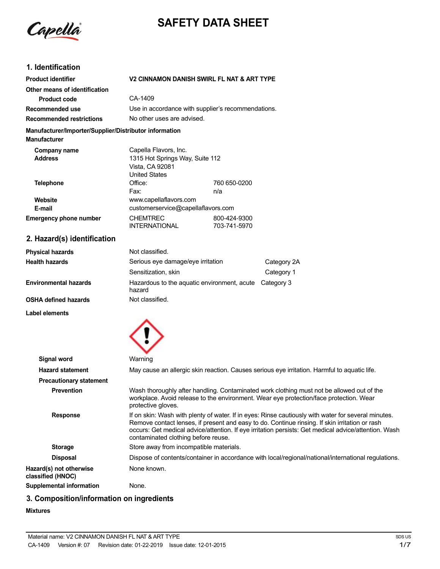

# **SAFETY DATA SHEET**

# **1. Identification**

| <b>Product identifier</b>                                                     | V2 CINNAMON DANISH SWIRL FL NAT & ART TYPE                                 |              |
|-------------------------------------------------------------------------------|----------------------------------------------------------------------------|--------------|
| Other means of identification                                                 |                                                                            |              |
| <b>Product code</b>                                                           | CA-1409                                                                    |              |
| Recommended use                                                               | Use in accordance with supplier's recommendations.                         |              |
| <b>Recommended restrictions</b>                                               | No other uses are advised.                                                 |              |
| Manufacturer/Importer/Supplier/Distributor information<br><b>Manufacturer</b> |                                                                            |              |
| Company name                                                                  | Capella Flavors, Inc.                                                      |              |
| <b>Address</b>                                                                | 1315 Hot Springs Way, Suite 112<br>Vista, CA 92081<br><b>United States</b> |              |
| <b>Telephone</b>                                                              | Office:                                                                    | 760 650-0200 |
|                                                                               | Fax:                                                                       | n/a          |
| Website                                                                       | www.capellaflavors.com                                                     |              |
| E-mail                                                                        | customerservice@capellaflavors.com                                         |              |
| <b>Emergency phone number</b>                                                 | <b>CHEMTREC</b>                                                            | 800-424-9300 |
|                                                                               | <b>INTERNATIONAL</b>                                                       | 703-741-5970 |

# **2. Hazard(s) identification**

| <b>Physical hazards</b>      | Not classified.                                                  |             |
|------------------------------|------------------------------------------------------------------|-------------|
| Health hazards               | Serious eye damage/eye irritation                                | Category 2A |
|                              | Sensitization, skin                                              | Category 1  |
| <b>Environmental hazards</b> | Hazardous to the aquatic environment, acute Category 3<br>hazard |             |
| OSHA defined hazards         | Not classified.                                                  |             |

**Label elements**



| Signal word                                  | Warning                                                                                                                                                                                                                                                                                                                                              |  |
|----------------------------------------------|------------------------------------------------------------------------------------------------------------------------------------------------------------------------------------------------------------------------------------------------------------------------------------------------------------------------------------------------------|--|
| <b>Hazard statement</b>                      | May cause an allergic skin reaction. Causes serious eye irritation. Harmful to aquatic life.                                                                                                                                                                                                                                                         |  |
| <b>Precautionary statement</b>               |                                                                                                                                                                                                                                                                                                                                                      |  |
| <b>Prevention</b>                            | Wash thoroughly after handling. Contaminated work clothing must not be allowed out of the<br>workplace. Avoid release to the environment. Wear eye protection/face protection. Wear<br>protective gloves.                                                                                                                                            |  |
| <b>Response</b>                              | If on skin: Wash with plenty of water. If in eyes: Rinse cautiously with water for several minutes.<br>Remove contact lenses, if present and easy to do. Continue rinsing. If skin irritation or rash<br>occurs: Get medical advice/attention. If eye irritation persists: Get medical advice/attention. Wash<br>contaminated clothing before reuse. |  |
| <b>Storage</b>                               | Store away from incompatible materials.                                                                                                                                                                                                                                                                                                              |  |
| <b>Disposal</b>                              | Dispose of contents/container in accordance with local/regional/national/international regulations.                                                                                                                                                                                                                                                  |  |
| Hazard(s) not otherwise<br>classified (HNOC) | None known.                                                                                                                                                                                                                                                                                                                                          |  |
| Supplemental information                     | None.                                                                                                                                                                                                                                                                                                                                                |  |

# **3. Composition/information on ingredients**

### **Mixtures**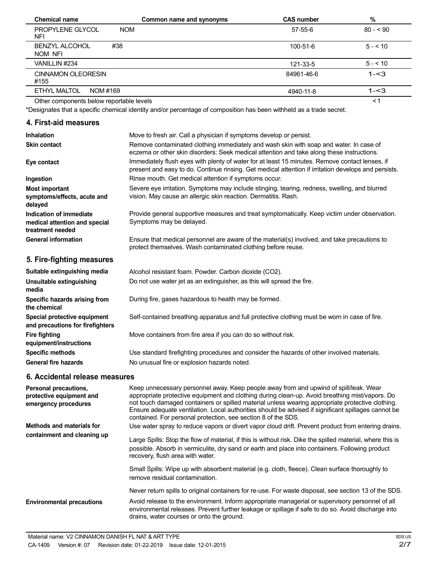| <b>Chemical name</b>                     | Common name and synonyms | <b>CAS number</b> | %         |
|------------------------------------------|--------------------------|-------------------|-----------|
| <b>NOM</b><br>PROPYLENE GLYCOL<br>NFI    |                          | 57-55-6           | $80 - 90$ |
| #38<br><b>BENZYL ALCOHOL</b><br>NOM NFI  |                          | $100 - 51 - 6$    | $5 - 10$  |
| VANILLIN #234                            |                          | 121-33-5          | $5 - 10$  |
| <b>CINNAMON OLEORESIN</b><br>#155        |                          | 84961-46-6        | $1 - 3$   |
| ETHYL MALTOL<br>NOM #169                 |                          | 4940-11-8         | $1 - 3$   |
| Other components below reportable levels |                          |                   | <1        |

Other components below reportable levels

\*Designates that a specific chemical identity and/or percentage of composition has been withheld as a trade secret.

# **4. First-aid measures**

| <b>Inhalation</b>                                                            | Move to fresh air. Call a physician if symptoms develop or persist.                                                                                                                                    |  |
|------------------------------------------------------------------------------|--------------------------------------------------------------------------------------------------------------------------------------------------------------------------------------------------------|--|
| <b>Skin contact</b>                                                          | Remove contaminated clothing immediately and wash skin with soap and water. In case of<br>eczema or other skin disorders: Seek medical attention and take along these instructions.                    |  |
| Eye contact                                                                  | Immediately flush eyes with plenty of water for at least 15 minutes. Remove contact lenses, if<br>present and easy to do. Continue rinsing. Get medical attention if irritation develops and persists. |  |
| Ingestion                                                                    | Rinse mouth. Get medical attention if symptoms occur.                                                                                                                                                  |  |
| <b>Most important</b><br>symptoms/effects, acute and<br>delayed              | Severe eye irritation. Symptoms may include stinging, tearing, redness, swelling, and blurred<br>vision. May cause an allergic skin reaction. Dermatitis. Rash.                                        |  |
| Indication of immediate<br>medical attention and special<br>treatment needed | Provide general supportive measures and treat symptomatically. Keep victim under observation.<br>Symptoms may be delayed.                                                                              |  |
| <b>General information</b>                                                   | Ensure that medical personnel are aware of the material(s) involved, and take precautions to<br>protect themselves. Wash contaminated clothing before reuse.                                           |  |
| 5. Fire-fighting measures                                                    |                                                                                                                                                                                                        |  |
| Suitable extinguishing media                                                 | Alcohol resistant foam. Powder. Carbon dioxide (CO2).                                                                                                                                                  |  |
| Unsuitable extinguishing<br>media                                            | Do not use water jet as an extinguisher, as this will spread the fire.                                                                                                                                 |  |
| Specific hazards arising from<br>the chemical                                | During fire, gases hazardous to health may be formed.                                                                                                                                                  |  |
| Special protective equipment<br>and precautions for firefighters             | Self-contained breathing apparatus and full protective clothing must be worn in case of fire.                                                                                                          |  |
| <b>Fire fighting</b><br>equipment/instructions                               | Move containers from fire area if you can do so without risk.                                                                                                                                          |  |
| <b>Specific methods</b>                                                      | Use standard firefighting procedures and consider the hazards of other involved materials.                                                                                                             |  |

**General fire hazards**

# **6. Accidental release measures**

| Personal precautions,<br>protective equipment and<br>emergency procedures | Keep unnecessary personnel away. Keep people away from and upwind of spill/leak. Wear<br>appropriate protective equipment and clothing during clean-up. Avoid breathing mist/vapors. Do<br>not touch damaged containers or spilled material unless wearing appropriate protective clothing.<br>Ensure adequate ventilation. Local authorities should be advised if significant spillages cannot be<br>contained. For personal protection, see section 8 of the SDS. |
|---------------------------------------------------------------------------|---------------------------------------------------------------------------------------------------------------------------------------------------------------------------------------------------------------------------------------------------------------------------------------------------------------------------------------------------------------------------------------------------------------------------------------------------------------------|
| Methods and materials for                                                 | Use water spray to reduce vapors or divert vapor cloud drift. Prevent product from entering drains.                                                                                                                                                                                                                                                                                                                                                                 |
| containment and cleaning up                                               | Large Spills: Stop the flow of material, if this is without risk. Dike the spilled material, where this is<br>possible. Absorb in vermiculite, dry sand or earth and place into containers. Following product<br>recovery, flush area with water.                                                                                                                                                                                                                   |
|                                                                           | Small Spills: Wipe up with absorbent material (e.g. cloth, fleece). Clean surface thoroughly to<br>remove residual contamination.                                                                                                                                                                                                                                                                                                                                   |
|                                                                           | Never return spills to original containers for re-use. For waste disposal, see section 13 of the SDS.                                                                                                                                                                                                                                                                                                                                                               |
| <b>Environmental precautions</b>                                          | Avoid release to the environment. Inform appropriate managerial or supervisory personnel of all<br>environmental releases. Prevent further leakage or spillage if safe to do so. Avoid discharge into<br>drains, water courses or onto the ground.                                                                                                                                                                                                                  |

No unusual fire or explosion hazards noted.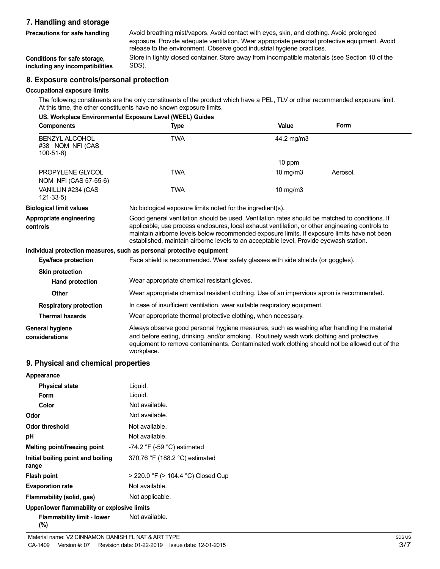# **7. Handling and storage**

**Precautions for safe handling**

Avoid breathing mist/vapors. Avoid contact with eyes, skin, and clothing. Avoid prolonged exposure. Provide adequate ventilation. Wear appropriate personal protective equipment. Avoid release to the environment. Observe good industrial hygiene practices. Store in tightly closed container. Store away from incompatible materials (see Section 10 of the SDS).

**Conditions for safe storage, including any incompatibilities**

#### **8. Exposure controls/personal protection**

#### **Occupational exposure limits**

The following constituents are the only constituents of the product which have a PEL, TLV or other recommended exposure limit. At this time, the other constituents have no known exposure limits.

|                                                         | US. Workplace Environmental Exposure Level (WEEL) Guides                                                                                                                                                                                                                                                                                                                                    |                   |          |
|---------------------------------------------------------|---------------------------------------------------------------------------------------------------------------------------------------------------------------------------------------------------------------------------------------------------------------------------------------------------------------------------------------------------------------------------------------------|-------------------|----------|
| <b>Components</b>                                       | <b>Type</b>                                                                                                                                                                                                                                                                                                                                                                                 | Value             | Form     |
| <b>BENZYL ALCOHOL</b><br>#38 NOM NFI (CAS<br>$100-51-6$ | <b>TWA</b>                                                                                                                                                                                                                                                                                                                                                                                  | 44.2 mg/m3        |          |
|                                                         |                                                                                                                                                                                                                                                                                                                                                                                             | 10 ppm            |          |
| PROPYLENE GLYCOL<br>NOM NFI (CAS 57-55-6)               | <b>TWA</b>                                                                                                                                                                                                                                                                                                                                                                                  | $10 \text{ mg/m}$ | Aerosol. |
| VANILLIN #234 (CAS<br>121-33-5)                         | <b>TWA</b>                                                                                                                                                                                                                                                                                                                                                                                  | $10$ mg/m $3$     |          |
| <b>Biological limit values</b>                          | No biological exposure limits noted for the ingredient(s).                                                                                                                                                                                                                                                                                                                                  |                   |          |
| Appropriate engineering<br>controls                     | Good general ventilation should be used. Ventilation rates should be matched to conditions. If<br>applicable, use process enclosures, local exhaust ventilation, or other engineering controls to<br>maintain airborne levels below recommended exposure limits. If exposure limits have not been<br>established, maintain airborne levels to an acceptable level. Provide eyewash station. |                   |          |
|                                                         | Individual protection measures, such as personal protective equipment                                                                                                                                                                                                                                                                                                                       |                   |          |
| Eye/face protection                                     | Face shield is recommended. Wear safety glasses with side shields (or goggles).                                                                                                                                                                                                                                                                                                             |                   |          |
| <b>Skin protection</b>                                  |                                                                                                                                                                                                                                                                                                                                                                                             |                   |          |
| <b>Hand protection</b>                                  | Wear appropriate chemical resistant gloves.                                                                                                                                                                                                                                                                                                                                                 |                   |          |
| <b>Other</b>                                            | Wear appropriate chemical resistant clothing. Use of an impervious apron is recommended.                                                                                                                                                                                                                                                                                                    |                   |          |
| <b>Respiratory protection</b>                           | In case of insufficient ventilation, wear suitable respiratory equipment.                                                                                                                                                                                                                                                                                                                   |                   |          |
| <b>Thermal hazards</b>                                  | Wear appropriate thermal protective clothing, when necessary.                                                                                                                                                                                                                                                                                                                               |                   |          |
| General hygiene<br>considerations                       | Always observe good personal hygiene measures, such as washing after handling the material<br>and before eating, drinking, and/or smoking. Routinely wash work clothing and protective<br>equipment to remove contaminants. Contaminated work clothing should not be allowed out of the<br>workplace.                                                                                       |                   |          |

### **9. Physical and chemical properties**

| Appearance                                   |                                    |
|----------------------------------------------|------------------------------------|
| <b>Physical state</b>                        | Liguid.                            |
| Form                                         | Liguid.                            |
| Color                                        | Not available.                     |
| Odor                                         | Not available.                     |
| Odor threshold                               | Not available.                     |
| рH                                           | Not available.                     |
| Melting point/freezing point                 | $-74.2$ °F ( $-59$ °C) estimated   |
| Initial boiling point and boiling<br>range   | 370.76 °F (188.2 °C) estimated     |
| <b>Flash point</b>                           | > 220.0 °F (> 104.4 °C) Closed Cup |
| <b>Evaporation rate</b>                      | Not available.                     |
| Flammability (solid, gas)                    | Not applicable.                    |
| Upper/lower flammability or explosive limits |                                    |
| Flammability limit - lower<br>(%)            | Not available.                     |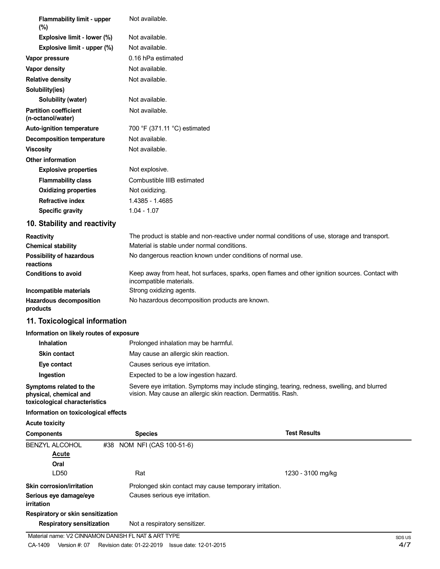| <b>Flammability limit - upper</b><br>$(\%)$       | Not available.                                                                                                             |
|---------------------------------------------------|----------------------------------------------------------------------------------------------------------------------------|
| Explosive limit - lower (%)                       | Not available.                                                                                                             |
| Explosive limit - upper (%)                       | Not available.                                                                                                             |
| Vapor pressure                                    | 0.16 hPa estimated                                                                                                         |
| Vapor density                                     | Not available.                                                                                                             |
| <b>Relative density</b>                           | Not available.                                                                                                             |
| Solubility(ies)                                   |                                                                                                                            |
| Solubility (water)                                | Not available.                                                                                                             |
| <b>Partition coefficient</b><br>(n-octanol/water) | Not available.                                                                                                             |
| <b>Auto-ignition temperature</b>                  | 700 °F (371.11 °C) estimated                                                                                               |
| <b>Decomposition temperature</b>                  | Not available.                                                                                                             |
| <b>Viscosity</b>                                  | Not available.                                                                                                             |
| <b>Other information</b>                          |                                                                                                                            |
| <b>Explosive properties</b>                       | Not explosive.                                                                                                             |
| <b>Flammability class</b>                         | Combustible IIIB estimated                                                                                                 |
| <b>Oxidizing properties</b>                       | Not oxidizing.                                                                                                             |
| <b>Refractive index</b>                           | 1.4385 - 1.4685                                                                                                            |
| <b>Specific gravity</b>                           | $1.04 - 1.07$                                                                                                              |
| 10. Stability and reactivity                      |                                                                                                                            |
| <b>Reactivity</b>                                 | The product is stable and non-reactive under normal conditions of use, storage and transport.                              |
| <b>Chemical stability</b>                         | Material is stable under normal conditions.                                                                                |
| Possibility of hazardous<br>reactions             | No dangerous reaction known under conditions of normal use.                                                                |
| <b>Conditions to avoid</b>                        | Keep away from heat, hot surfaces, sparks, open flames and other ignition sources. Contact with<br>incompatible materials. |
| Incompatible materials                            | Strong oxidizing agents.                                                                                                   |
| <b>Hazardous decomposition</b><br>products        | No hazardous decomposition products are known.                                                                             |
| 11. Toxicological information                     |                                                                                                                            |
| Information on likely routes of exposure          |                                                                                                                            |
| <b>Inhalation</b>                                 | Prolonged inhalation may be harmful.                                                                                       |
| <b>Skin contact</b>                               | May cause an allergic skin reaction.                                                                                       |
|                                                   |                                                                                                                            |

**Eye contact** Causes serious eye irritation.

**Ingestion** Expected to be a low ingestion hazard.

**Symptoms related to the physical, chemical and** Severe eye irritation. Symptoms may include stinging, tearing, redness, swelling, and blurred vision. May cause an allergic skin reaction. Dermatitis. Rash. **toxicological characteristics**

#### **Information on toxicological effects**

**Acute toxicity**

| <b>Components</b>                    | <b>Species</b>                 | <b>Test Results</b>                                    |
|--------------------------------------|--------------------------------|--------------------------------------------------------|
| <b>BENZYL ALCOHOL</b>                | #38 NOM NFI (CAS 100-51-6)     |                                                        |
| <b>Acute</b>                         |                                |                                                        |
| Oral                                 |                                |                                                        |
| LD50                                 | Rat                            | 1230 - 3100 mg/kg                                      |
| <b>Skin corrosion/irritation</b>     |                                | Prolonged skin contact may cause temporary irritation. |
| Serious eye damage/eye<br>irritation | Causes serious eye irritation. |                                                        |
| Respiratory or skin sensitization    |                                |                                                        |
| <b>Respiratory sensitization</b>     | Not a respiratory sensitizer.  |                                                        |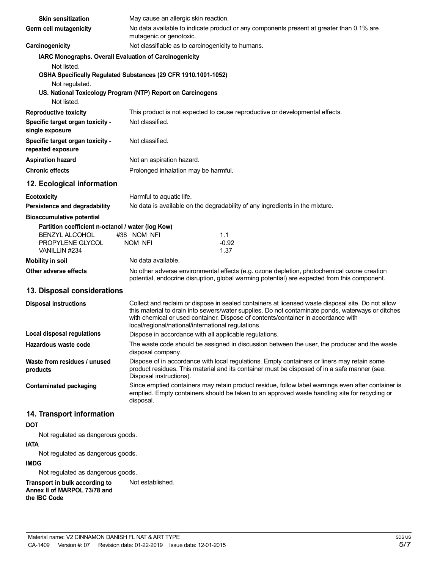| <b>Skin sensitization</b>                                                                                       | May cause an allergic skin reaction.                                                                                                                                                                                                                                                                                                              |
|-----------------------------------------------------------------------------------------------------------------|---------------------------------------------------------------------------------------------------------------------------------------------------------------------------------------------------------------------------------------------------------------------------------------------------------------------------------------------------|
| Germ cell mutagenicity                                                                                          | No data available to indicate product or any components present at greater than 0.1% are<br>mutagenic or genotoxic.                                                                                                                                                                                                                               |
| Carcinogenicity                                                                                                 | Not classifiable as to carcinogenicity to humans.                                                                                                                                                                                                                                                                                                 |
| IARC Monographs. Overall Evaluation of Carcinogenicity                                                          |                                                                                                                                                                                                                                                                                                                                                   |
| Not listed.<br>Not regulated.                                                                                   | OSHA Specifically Regulated Substances (29 CFR 1910.1001-1052)                                                                                                                                                                                                                                                                                    |
| Not listed.                                                                                                     | US. National Toxicology Program (NTP) Report on Carcinogens                                                                                                                                                                                                                                                                                       |
| <b>Reproductive toxicity</b>                                                                                    | This product is not expected to cause reproductive or developmental effects.                                                                                                                                                                                                                                                                      |
| Specific target organ toxicity -<br>single exposure                                                             | Not classified.                                                                                                                                                                                                                                                                                                                                   |
| Specific target organ toxicity -<br>repeated exposure                                                           | Not classified.                                                                                                                                                                                                                                                                                                                                   |
| <b>Aspiration hazard</b>                                                                                        | Not an aspiration hazard.                                                                                                                                                                                                                                                                                                                         |
| <b>Chronic effects</b>                                                                                          | Prolonged inhalation may be harmful.                                                                                                                                                                                                                                                                                                              |
| 12. Ecological information                                                                                      |                                                                                                                                                                                                                                                                                                                                                   |
| <b>Ecotoxicity</b>                                                                                              | Harmful to aquatic life.                                                                                                                                                                                                                                                                                                                          |
| Persistence and degradability                                                                                   | No data is available on the degradability of any ingredients in the mixture.                                                                                                                                                                                                                                                                      |
| <b>Bioaccumulative potential</b>                                                                                |                                                                                                                                                                                                                                                                                                                                                   |
| Partition coefficient n-octanol / water (log Kow)<br><b>BENZYL ALCOHOL</b><br>PROPYLENE GLYCOL<br>VANILLIN #234 | #38 NOM NFI<br>1.1<br>NOM NFI<br>$-0.92$<br>1.37                                                                                                                                                                                                                                                                                                  |
| <b>Mobility in soil</b>                                                                                         | No data available.                                                                                                                                                                                                                                                                                                                                |
| Other adverse effects                                                                                           | No other adverse environmental effects (e.g. ozone depletion, photochemical ozone creation<br>potential, endocrine disruption, global warming potential) are expected from this component.                                                                                                                                                        |
| 13. Disposal considerations                                                                                     |                                                                                                                                                                                                                                                                                                                                                   |
| <b>Disposal instructions</b>                                                                                    | Collect and reclaim or dispose in sealed containers at licensed waste disposal site. Do not allow<br>this material to drain into sewers/water supplies. Do not contaminate ponds, waterways or ditches<br>with chemical or used container. Dispose of contents/container in accordance with<br>local/regional/national/international regulations. |
| <b>Local disposal regulations</b>                                                                               | Dispose in accordance with all applicable regulations.                                                                                                                                                                                                                                                                                            |
| Hazardous waste code                                                                                            | The waste code should be assigned in discussion between the user, the producer and the waste<br>disposal company.                                                                                                                                                                                                                                 |
| Waste from residues / unused<br>products                                                                        | Dispose of in accordance with local regulations. Empty containers or liners may retain some<br>product residues. This material and its container must be disposed of in a safe manner (see:<br>Disposal instructions).                                                                                                                            |
| <b>Contaminated packaging</b>                                                                                   | Since emptied containers may retain product residue, follow label warnings even after container is<br>emptied. Empty containers should be taken to an approved waste handling site for recycling or<br>disposal.                                                                                                                                  |
| 14. Transport information                                                                                       |                                                                                                                                                                                                                                                                                                                                                   |
| <b>DOT</b>                                                                                                      |                                                                                                                                                                                                                                                                                                                                                   |
| Not regulated as dangerous goods.<br><b>IATA</b>                                                                |                                                                                                                                                                                                                                                                                                                                                   |
| Not regulated as dangerous goods.                                                                               |                                                                                                                                                                                                                                                                                                                                                   |
| <b>IMDG</b>                                                                                                     |                                                                                                                                                                                                                                                                                                                                                   |
| Not regulated as dangerous goods.                                                                               |                                                                                                                                                                                                                                                                                                                                                   |

**Transport in bulk according to Annex II of MARPOL 73/78 and the IBC Code** Not established.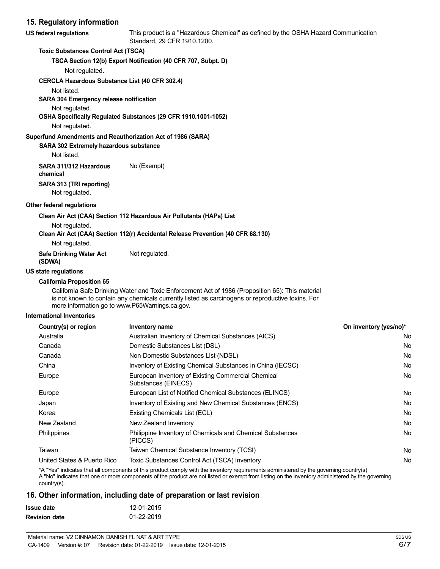# **15. Regulatory information**

| 15. Regulatory information                                  |                                                                                                                   |
|-------------------------------------------------------------|-------------------------------------------------------------------------------------------------------------------|
| US federal regulations                                      | This product is a "Hazardous Chemical" as defined by the OSHA Hazard Communication<br>Standard, 29 CFR 1910.1200. |
| <b>Toxic Substances Control Act (TSCA)</b>                  |                                                                                                                   |
|                                                             | TSCA Section 12(b) Export Notification (40 CFR 707, Subpt. D)                                                     |
| Not regulated.                                              |                                                                                                                   |
| <b>CERCLA Hazardous Substance List (40 CFR 302.4)</b>       |                                                                                                                   |
| Not listed.                                                 |                                                                                                                   |
| <b>SARA 304 Emergency release notification</b>              |                                                                                                                   |
| Not regulated.                                              |                                                                                                                   |
|                                                             | OSHA Specifically Regulated Substances (29 CFR 1910.1001-1052)                                                    |
| Not regulated.                                              |                                                                                                                   |
| Superfund Amendments and Reauthorization Act of 1986 (SARA) |                                                                                                                   |
| <b>SARA 302 Extremely hazardous substance</b>               |                                                                                                                   |
| Not listed.                                                 |                                                                                                                   |
| SARA 311/312 Hazardous<br>chemical                          | No (Exempt)                                                                                                       |
| SARA 313 (TRI reporting)                                    |                                                                                                                   |
| Not regulated.                                              |                                                                                                                   |
| Other federal regulations                                   |                                                                                                                   |
|                                                             | Clean Air Act (CAA) Section 112 Hazardous Air Pollutants (HAPs) List                                              |
| Not regulated.                                              |                                                                                                                   |
|                                                             | Clean Air Act (CAA) Section 112(r) Accidental Release Prevention (40 CFR 68.130)                                  |
| Not regulated.                                              |                                                                                                                   |

**Safe Drinking Water Act** Not regulated.

# **(SDWA) US state regulations**

# **California Proposition 65**

California Safe Drinking Water and Toxic Enforcement Act of 1986 (Proposition 65): This material is not known to contain any chemicals currently listed as carcinogens or reproductive toxins. For more information go to www.P65Warnings.ca.gov.

#### **International Inventories**

| Country(s) or region        | Inventory name                                                            | On inventory (yes/no)* |
|-----------------------------|---------------------------------------------------------------------------|------------------------|
| Australia                   | Australian Inventory of Chemical Substances (AICS)                        | No.                    |
| Canada                      | Domestic Substances List (DSL)                                            | No.                    |
| Canada                      | Non-Domestic Substances List (NDSL)                                       | No.                    |
| China                       | Inventory of Existing Chemical Substances in China (IECSC)                | No.                    |
| Europe                      | European Inventory of Existing Commercial Chemical<br>Substances (EINECS) | No.                    |
| Europe                      | European List of Notified Chemical Substances (ELINCS)                    | No.                    |
| Japan                       | Inventory of Existing and New Chemical Substances (ENCS)                  | No.                    |
| Korea                       | Existing Chemicals List (ECL)                                             | No.                    |
| New Zealand                 | New Zealand Inventory                                                     | No.                    |
| Philippines                 | Philippine Inventory of Chemicals and Chemical Substances<br>(PICCS)      | No.                    |
| Taiwan                      | Taiwan Chemical Substance Inventory (TCSI)                                | No.                    |
| United States & Puerto Rico | Toxic Substances Control Act (TSCA) Inventory                             | No.                    |

\*A "Yes" indicates that all components of this product comply with the inventory requirements administered by the governing country(s)

A "No" indicates that one or more components of the product are not listed or exempt from listing on the inventory administered by the governing country(s).

### **16. Other information, including date of preparation or last revision**

| Issue date           | 12-01-2015 |
|----------------------|------------|
| <b>Revision date</b> | 01-22-2019 |